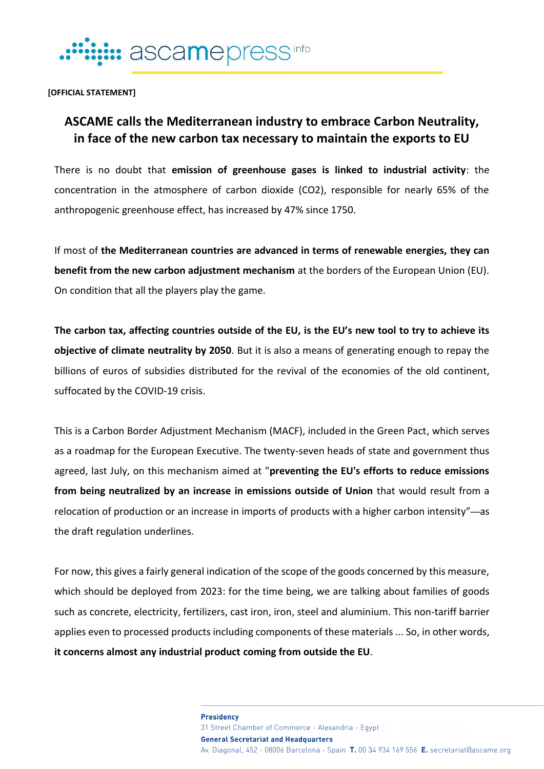

**[OFFICIAL STATEMENT]**

## **ASCAME calls the Mediterranean industry to embrace Carbon Neutrality, in face of the new carbon tax necessary to maintain the exports to EU**

There is no doubt that **emission of greenhouse gases is linked to industrial activity**: the concentration in the atmosphere of carbon dioxide (CO2), responsible for nearly 65% of the anthropogenic greenhouse effect, has increased by 47% since 1750.

If most of **the Mediterranean countries are advanced in terms of renewable energies, they can benefit from the new carbon adjustment mechanism** at the borders of the European Union (EU). On condition that all the players play the game.

**The carbon tax, affecting countries outside of the EU, is the EU's new tool to try to achieve its objective of climate neutrality by 2050**. But it is also a means of generating enough to repay the billions of euros of subsidies distributed for the revival of the economies of the old continent, suffocated by the COVID-19 crisis.

This is a Carbon Border Adjustment Mechanism (MACF), included in the Green Pact, which serves as a roadmap for the European Executive. The twenty-seven heads of state and government thus agreed, last July, on this mechanism aimed at "**preventing the EU's efforts to reduce emissions from being neutralized by an increase in emissions outside of Union** that would result from a relocation of production or an increase in imports of products with a higher carbon intensity"—as the draft regulation underlines.

For now, this gives a fairly general indication of the scope of the goods concerned by this measure, which should be deployed from 2023: for the time being, we are talking about families of goods such as concrete, electricity, fertilizers, cast iron, iron, steel and aluminium. This non-tariff barrier applies even to processed products including components of these materials ... So, in other words, **it concerns almost any industrial product coming from outside the EU**.